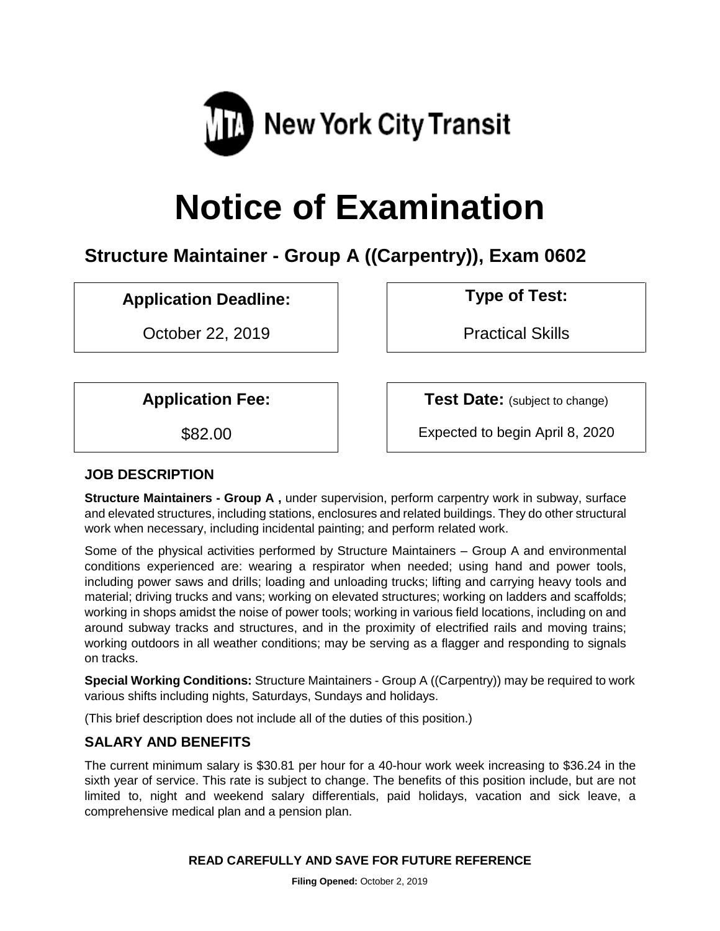

# **Notice of Examination**

## **Structure Maintainer - Group A ((Carpentry)), Exam 0602**

**Application Deadline: Type of Test:** 

October 22, 2019 **Practical Skills** 

**Application Fee:**  $\vert$  **Test Date:** (subject to change)

\$82.00 Expected to begin April 8, 2020

## **JOB DESCRIPTION**

**Structure Maintainers - Group A ,** under supervision, perform carpentry work in subway, surface and elevated structures, including stations, enclosures and related buildings. They do other structural work when necessary, including incidental painting; and perform related work.

Some of the physical activities performed by Structure Maintainers – Group A and environmental conditions experienced are: wearing a respirator when needed; using hand and power tools, including power saws and drills; loading and unloading trucks; lifting and carrying heavy tools and material; driving trucks and vans; working on elevated structures; working on ladders and scaffolds; working in shops amidst the noise of power tools; working in various field locations, including on and around subway tracks and structures, and in the proximity of electrified rails and moving trains; working outdoors in all weather conditions; may be serving as a flagger and responding to signals on tracks.

**Special Working Conditions:** Structure Maintainers - Group A ((Carpentry)) may be required to work various shifts including nights, Saturdays, Sundays and holidays.

(This brief description does not include all of the duties of this position.)

## **SALARY AND BENEFITS**

The current minimum salary is \$30.81 per hour for a 40-hour work week increasing to \$36.24 in the sixth year of service. This rate is subject to change. The benefits of this position include, but are not limited to, night and weekend salary differentials, paid holidays, vacation and sick leave, a comprehensive medical plan and a pension plan.

#### **READ CAREFULLY AND SAVE FOR FUTURE REFERENCE**

**Filing Opened:** October 2, 2019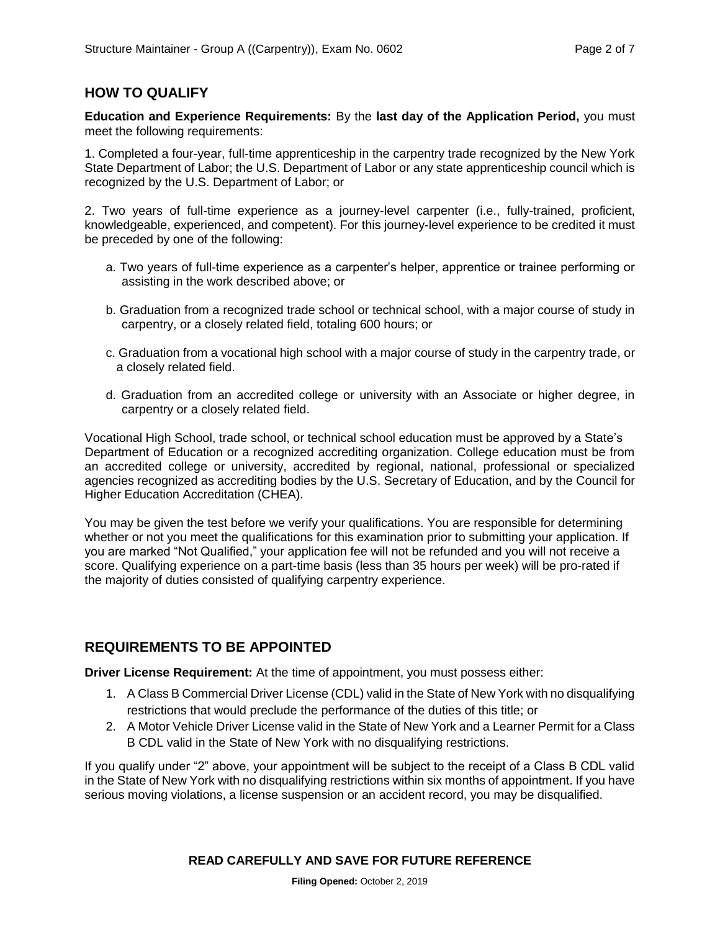## **HOW TO QUALIFY**

**Education and Experience Requirements:** By the **last day of the Application Period,** you must meet the following requirements:

1. Completed a four-year, full-time apprenticeship in the carpentry trade recognized by the New York State Department of Labor; the U.S. Department of Labor or any state apprenticeship council which is recognized by the U.S. Department of Labor; or

2. Two years of full-time experience as a journey-level carpenter (i.e., fully-trained, proficient, knowledgeable, experienced, and competent). For this journey-level experience to be credited it must be preceded by one of the following:

- a. Two years of full-time experience as a carpenter's helper, apprentice or trainee performing or assisting in the work described above; or
- b. Graduation from a recognized trade school or technical school, with a major course of study in carpentry, or a closely related field, totaling 600 hours; or
- c. Graduation from a vocational high school with a major course of study in the carpentry trade, or a closely related field.
- d. Graduation from an accredited college or university with an Associate or higher degree, in carpentry or a closely related field.

Vocational High School, trade school, or technical school education must be approved by a State's Department of Education or a recognized accrediting organization. College education must be from an accredited college or university, accredited by regional, national, professional or specialized agencies recognized as accrediting bodies by the U.S. Secretary of Education, and by the Council for Higher Education Accreditation (CHEA).

You may be given the test before we verify your qualifications. You are responsible for determining whether or not you meet the qualifications for this examination prior to submitting your application. If you are marked "Not Qualified," your application fee will not be refunded and you will not receive a score. Qualifying experience on a part-time basis (less than 35 hours per week) will be pro-rated if the majority of duties consisted of qualifying carpentry experience.

## **REQUIREMENTS TO BE APPOINTED**

**Driver License Requirement:** At the time of appointment, you must possess either:

- 1. A Class B Commercial Driver License (CDL) valid in the State of New York with no disqualifying restrictions that would preclude the performance of the duties of this title; or
- 2. A Motor Vehicle Driver License valid in the State of New York and a Learner Permit for a Class B CDL valid in the State of New York with no disqualifying restrictions.

If you qualify under "2" above, your appointment will be subject to the receipt of a Class B CDL valid in the State of New York with no disqualifying restrictions within six months of appointment. If you have serious moving violations, a license suspension or an accident record, you may be disqualified.

#### **READ CAREFULLY AND SAVE FOR FUTURE REFERENCE**

**Filing Opened:** October 2, 2019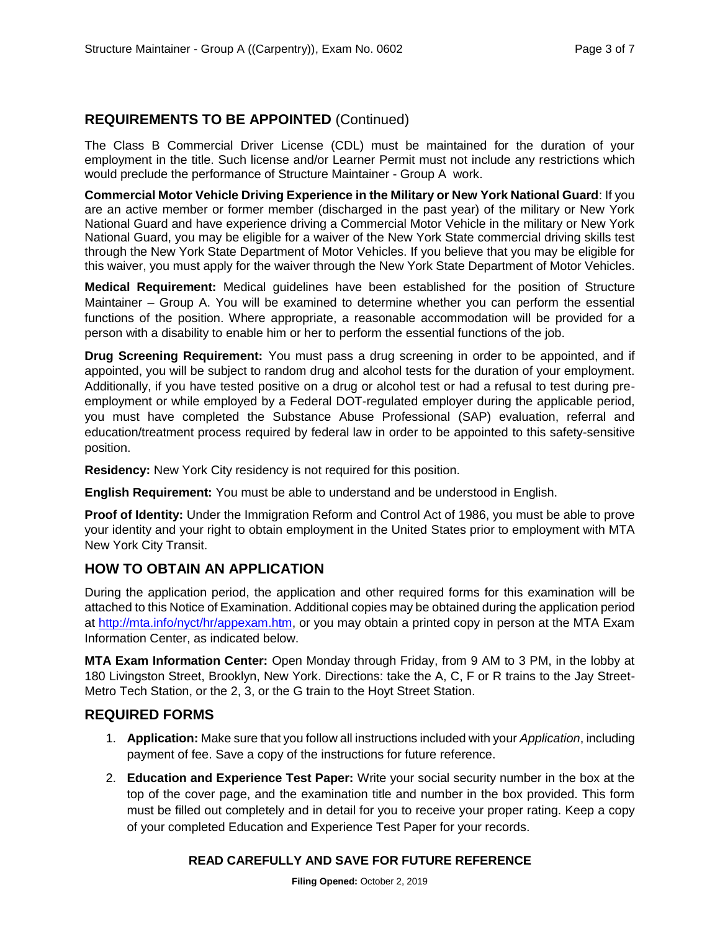## **REQUIREMENTS TO BE APPOINTED** (Continued)

The Class B Commercial Driver License (CDL) must be maintained for the duration of your employment in the title. Such license and/or Learner Permit must not include any restrictions which would preclude the performance of Structure Maintainer - Group A work.

**Commercial Motor Vehicle Driving Experience in the Military or New York National Guard**: If you are an active member or former member (discharged in the past year) of the military or New York National Guard and have experience driving a Commercial Motor Vehicle in the military or New York National Guard, you may be eligible for a waiver of the New York State commercial driving skills test through the New York State Department of Motor Vehicles. If you believe that you may be eligible for this waiver, you must apply for the waiver through the New York State Department of Motor Vehicles.

**Medical Requirement:** Medical guidelines have been established for the position of Structure Maintainer – Group A. You will be examined to determine whether you can perform the essential functions of the position. Where appropriate, a reasonable accommodation will be provided for a person with a disability to enable him or her to perform the essential functions of the job.

**Drug Screening Requirement:** You must pass a drug screening in order to be appointed, and if appointed, you will be subject to random drug and alcohol tests for the duration of your employment. Additionally, if you have tested positive on a drug or alcohol test or had a refusal to test during preemployment or while employed by a Federal DOT-regulated employer during the applicable period, you must have completed the Substance Abuse Professional (SAP) evaluation, referral and education/treatment process required by federal law in order to be appointed to this safety-sensitive position.

**Residency:** New York City residency is not required for this position.

**English Requirement:** You must be able to understand and be understood in English.

**Proof of Identity:** Under the Immigration Reform and Control Act of 1986, you must be able to prove your identity and your right to obtain employment in the United States prior to employment with MTA New York City Transit.

## **HOW TO OBTAIN AN APPLICATION**

During the application period, the application and other required forms for this examination will be attached to this Notice of Examination. Additional copies may be obtained during the application period at [http://mta.info/nyct/hr/appexam.htm,](http://mta.info/nyct/hr/appexam.htm) or you may obtain a printed copy in person at the MTA Exam Information Center, as indicated below.

**MTA Exam Information Center:** Open Monday through Friday, from 9 AM to 3 PM, in the lobby at 180 Livingston Street, Brooklyn, New York. Directions: take the A, C, F or R trains to the Jay Street-Metro Tech Station, or the 2, 3, or the G train to the Hoyt Street Station.

## **REQUIRED FORMS**

- 1. **Application:** Make sure that you follow all instructions included with your *Application*, including payment of fee. Save a copy of the instructions for future reference.
- 2. **Education and Experience Test Paper:** Write your social security number in the box at the top of the cover page, and the examination title and number in the box provided. This form must be filled out completely and in detail for you to receive your proper rating. Keep a copy of your completed Education and Experience Test Paper for your records.

#### **READ CAREFULLY AND SAVE FOR FUTURE REFERENCE**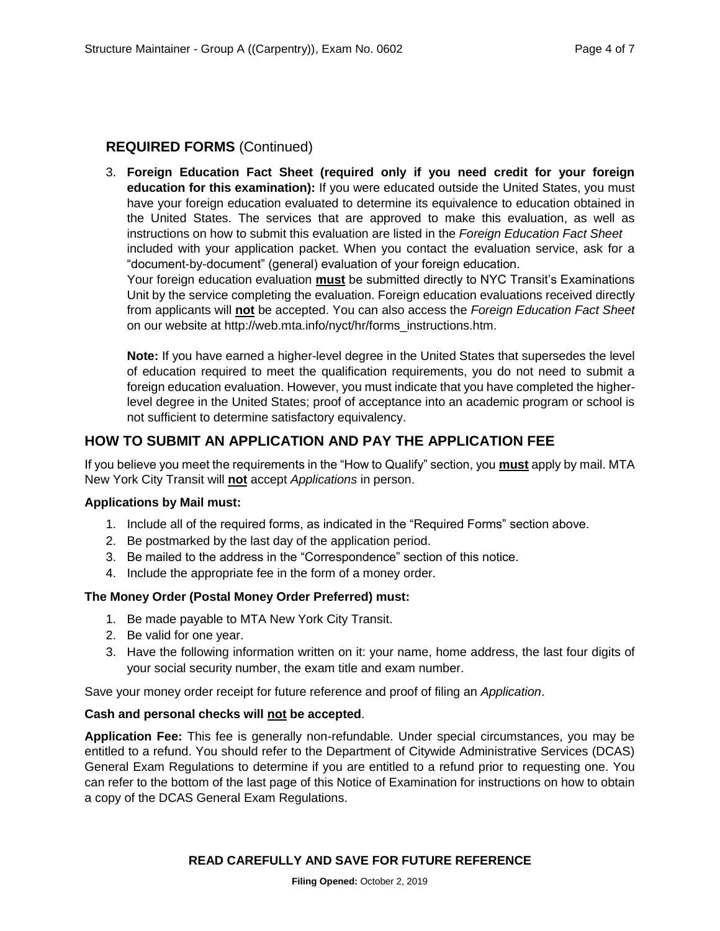#### **REQUIRED FORMS** (Continued)

3. **Foreign Education Fact Sheet (required only if you need credit for your foreign education for this examination):** If you were educated outside the United States, you must have your foreign education evaluated to determine its equivalence to education obtained in the United States. The services that are approved to make this evaluation, as well as instructions on how to submit this evaluation are listed in the *Foreign Education Fact Sheet* included with your application packet. When you contact the evaluation service, ask for a "document-by-document" (general) evaluation of your foreign education.

Your foreign education evaluation **must** be submitted directly to NYC Transit's Examinations Unit by the service completing the evaluation. Foreign education evaluations received directly from applicants will **not** be accepted. You can also access the *Foreign Education Fact Sheet* on our website at http://web.mta.info/nyct/hr/forms\_instructions.htm.

**Note:** If you have earned a higher-level degree in the United States that supersedes the level of education required to meet the qualification requirements, you do not need to submit a foreign education evaluation. However, you must indicate that you have completed the higherlevel degree in the United States; proof of acceptance into an academic program or school is not sufficient to determine satisfactory equivalency.

#### **HOW TO SUBMIT AN APPLICATION AND PAY THE APPLICATION FEE**

If you believe you meet the requirements in the "How to Qualify" section, you **must** apply by mail. MTA New York City Transit will **not** accept *Applications* in person.

#### **Applications by Mail must:**

- 1. Include all of the required forms, as indicated in the "Required Forms" section above.
- 2. Be postmarked by the last day of the application period.
- 3. Be mailed to the address in the "Correspondence" section of this notice.
- 4. Include the appropriate fee in the form of a money order.

#### **The Money Order (Postal Money Order Preferred) must:**

- 1. Be made payable to MTA New York City Transit.
- 2. Be valid for one year.
- 3. Have the following information written on it: your name, home address, the last four digits of your social security number, the exam title and exam number.

Save your money order receipt for future reference and proof of filing an *Application*.

#### **Cash and personal checks will not be accepted**.

**Application Fee:** This fee is generally non-refundable. Under special circumstances, you may be entitled to a refund. You should refer to the Department of Citywide Administrative Services (DCAS) General Exam Regulations to determine if you are entitled to a refund prior to requesting one. You can refer to the bottom of the last page of this Notice of Examination for instructions on how to obtain a copy of the DCAS General Exam Regulations.

#### **READ CAREFULLY AND SAVE FOR FUTURE REFERENCE**

**Filing Opened:** October 2, 2019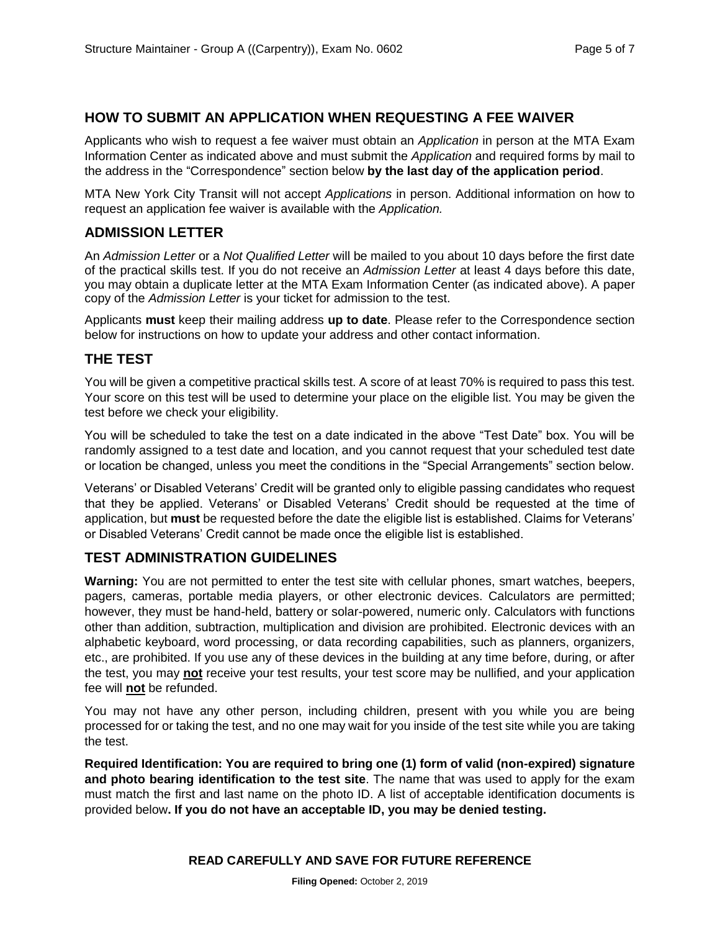#### **HOW TO SUBMIT AN APPLICATION WHEN REQUESTING A FEE WAIVER**

Applicants who wish to request a fee waiver must obtain an *Application* in person at the MTA Exam Information Center as indicated above and must submit the *Application* and required forms by mail to the address in the "Correspondence" section below **by the last day of the application period**.

MTA New York City Transit will not accept *Applications* in person. Additional information on how to request an application fee waiver is available with the *Application.*

#### **ADMISSION LETTER**

An *Admission Letter* or a *Not Qualified Letter* will be mailed to you about 10 days before the first date of the practical skills test. If you do not receive an *Admission Letter* at least 4 days before this date, you may obtain a duplicate letter at the MTA Exam Information Center (as indicated above). A paper copy of the *Admission Letter* is your ticket for admission to the test.

Applicants **must** keep their mailing address **up to date**. Please refer to the Correspondence section below for instructions on how to update your address and other contact information.

#### **THE TEST**

You will be given a competitive practical skills test. A score of at least 70% is required to pass this test. Your score on this test will be used to determine your place on the eligible list. You may be given the test before we check your eligibility.

You will be scheduled to take the test on a date indicated in the above "Test Date" box. You will be randomly assigned to a test date and location, and you cannot request that your scheduled test date or location be changed, unless you meet the conditions in the "Special Arrangements" section below.

Veterans' or Disabled Veterans' Credit will be granted only to eligible passing candidates who request that they be applied. Veterans' or Disabled Veterans' Credit should be requested at the time of application, but **must** be requested before the date the eligible list is established. Claims for Veterans' or Disabled Veterans' Credit cannot be made once the eligible list is established.

#### **TEST ADMINISTRATION GUIDELINES**

**Warning:** You are not permitted to enter the test site with cellular phones, smart watches, beepers, pagers, cameras, portable media players, or other electronic devices. Calculators are permitted; however, they must be hand-held, battery or solar-powered, numeric only. Calculators with functions other than addition, subtraction, multiplication and division are prohibited. Electronic devices with an alphabetic keyboard, word processing, or data recording capabilities, such as planners, organizers, etc., are prohibited. If you use any of these devices in the building at any time before, during, or after the test, you may **not** receive your test results, your test score may be nullified, and your application fee will **not** be refunded.

You may not have any other person, including children, present with you while you are being processed for or taking the test, and no one may wait for you inside of the test site while you are taking the test.

**Required Identification: You are required to bring one (1) form of valid (non-expired) signature and photo bearing identification to the test site**. The name that was used to apply for the exam must match the first and last name on the photo ID. A list of acceptable identification documents is provided below**. If you do not have an acceptable ID, you may be denied testing.**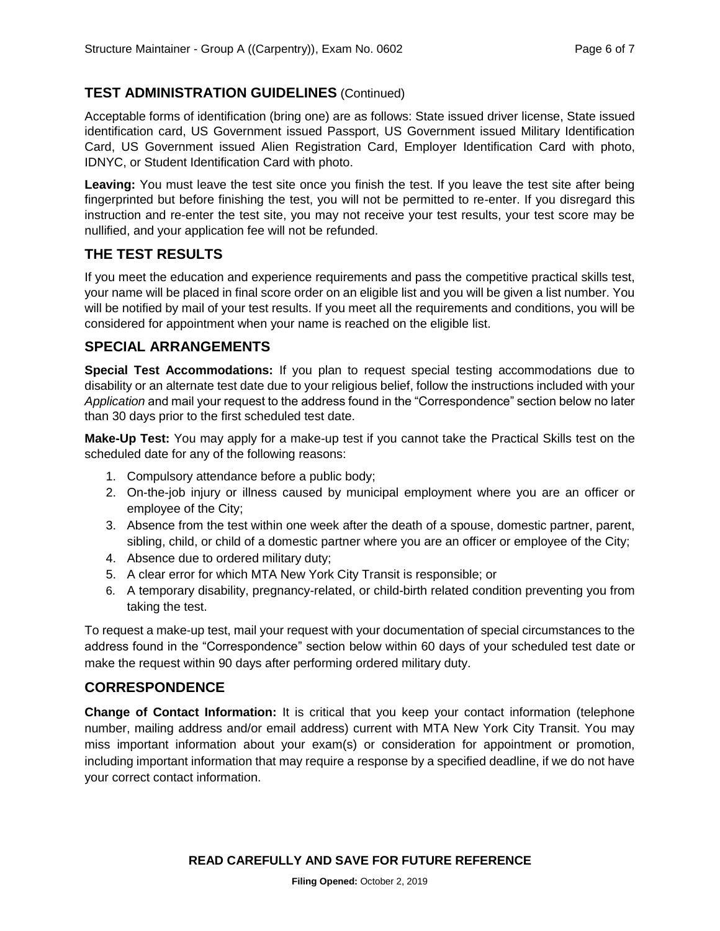## **TEST ADMINISTRATION GUIDELINES** (Continued)

Acceptable forms of identification (bring one) are as follows: State issued driver license, State issued identification card, US Government issued Passport, US Government issued Military Identification Card, US Government issued Alien Registration Card, Employer Identification Card with photo, IDNYC, or Student Identification Card with photo.

**Leaving:** You must leave the test site once you finish the test. If you leave the test site after being fingerprinted but before finishing the test, you will not be permitted to re-enter. If you disregard this instruction and re-enter the test site, you may not receive your test results, your test score may be nullified, and your application fee will not be refunded.

## **THE TEST RESULTS**

If you meet the education and experience requirements and pass the competitive practical skills test, your name will be placed in final score order on an eligible list and you will be given a list number. You will be notified by mail of your test results. If you meet all the requirements and conditions, you will be considered for appointment when your name is reached on the eligible list.

## **SPECIAL ARRANGEMENTS**

**Special Test Accommodations:** If you plan to request special testing accommodations due to disability or an alternate test date due to your religious belief, follow the instructions included with your *Application* and mail your request to the address found in the "Correspondence" section below no later than 30 days prior to the first scheduled test date.

**Make-Up Test:** You may apply for a make-up test if you cannot take the Practical Skills test on the scheduled date for any of the following reasons:

- 1. Compulsory attendance before a public body;
- 2. On-the-job injury or illness caused by municipal employment where you are an officer or employee of the City;
- 3. Absence from the test within one week after the death of a spouse, domestic partner, parent, sibling, child, or child of a domestic partner where you are an officer or employee of the City;
- 4. Absence due to ordered military duty;
- 5. A clear error for which MTA New York City Transit is responsible; or
- 6. A temporary disability, pregnancy-related, or child-birth related condition preventing you from taking the test.

To request a make-up test, mail your request with your documentation of special circumstances to the address found in the "Correspondence" section below within 60 days of your scheduled test date or make the request within 90 days after performing ordered military duty.

## **CORRESPONDENCE**

**Change of Contact Information:** It is critical that you keep your contact information (telephone number, mailing address and/or email address) current with MTA New York City Transit. You may miss important information about your exam(s) or consideration for appointment or promotion, including important information that may require a response by a specified deadline, if we do not have your correct contact information.